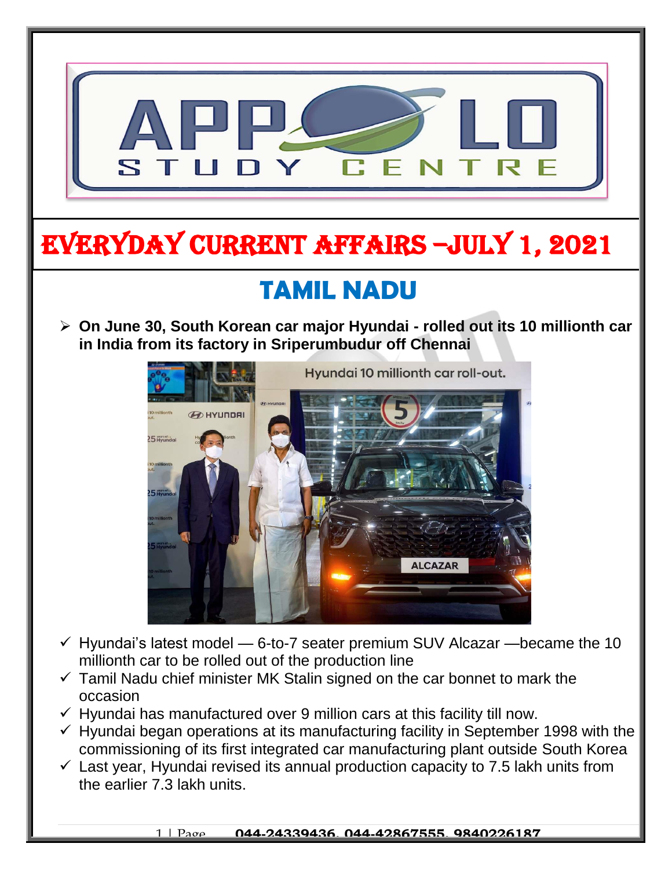

 $\checkmark$  Last year, Hyundai revised its annual production capacity to 7.5 lakh units from the earlier 7.3 lakh units.

1 | Page **044-24339436, 044-42867555, 9840226187**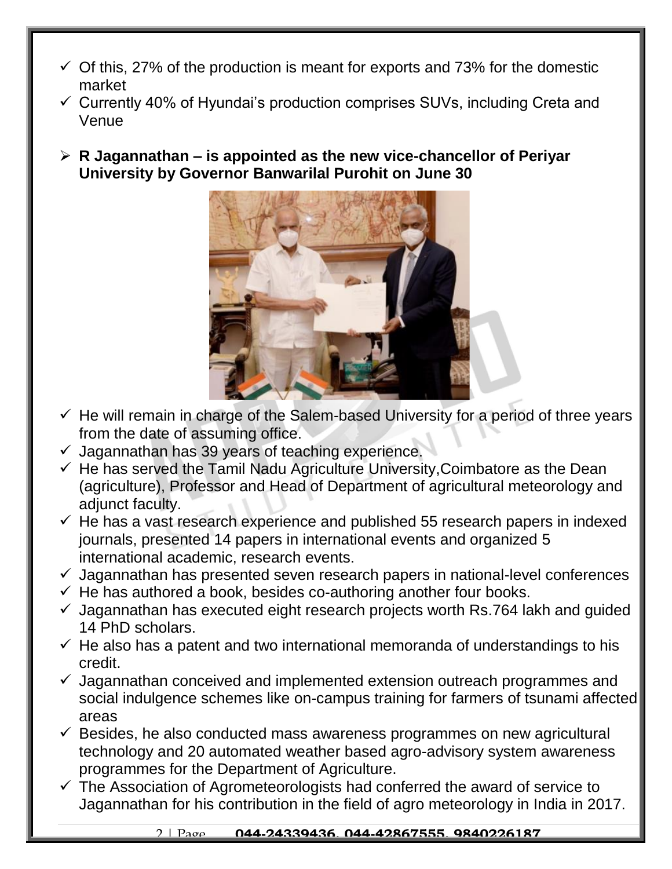- $\checkmark$  Of this, 27% of the production is meant for exports and 73% for the domestic market
- $\checkmark$  Currently 40% of Hyundai's production comprises SUVs, including Creta and Venue
- **R Jagannathan – is appointed as the new vice-chancellor of Periyar University by Governor Banwarilal Purohit on June 30**



- $\checkmark$  He will remain in charge of the Salem-based University for a period of three years from the date of assuming office.
- $\checkmark$  Jagannathan has 39 years of teaching experience.
- $\checkmark$  He has served the Tamil Nadu Agriculture University, Coimbatore as the Dean (agriculture), Professor and Head of Department of agricultural meteorology and adjunct faculty.
- $\checkmark$  He has a vast research experience and published 55 research papers in indexed journals, presented 14 papers in international events and organized 5 international academic, research events.
- $\checkmark$  Jagannathan has presented seven research papers in national-level conferences
- $\checkmark$  He has authored a book, besides co-authoring another four books.
- $\checkmark$  Jagannathan has executed eight research projects worth Rs.764 lakh and guided 14 PhD scholars.
- $\checkmark$  He also has a patent and two international memoranda of understandings to his credit.
- $\checkmark$  Jagannathan conceived and implemented extension outreach programmes and social indulgence schemes like on-campus training for farmers of tsunami affected areas
- $\checkmark$  Besides, he also conducted mass awareness programmes on new agricultural technology and 20 automated weather based agro-advisory system awareness programmes for the Department of Agriculture.
- $\checkmark$  The Association of Agrometeorologists had conferred the award of service to Jagannathan for his contribution in the field of agro meteorology in India in 2017.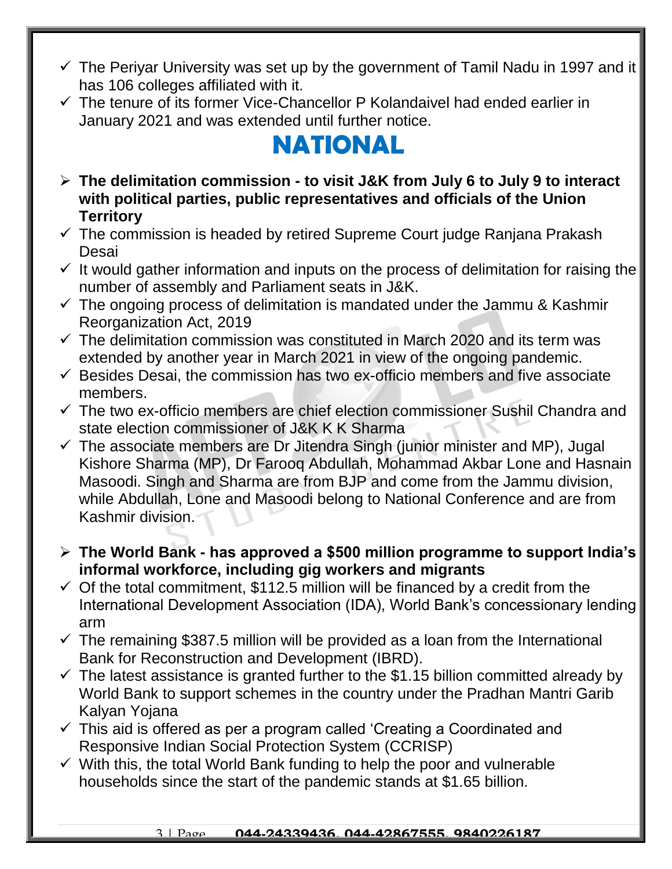- $\checkmark$  The Perivar University was set up by the government of Tamil Nadu in 1997 and it has 106 colleges affiliated with it.
- $\checkmark$  The tenure of its former Vice-Chancellor P Kolandaivel had ended earlier in January 2021 and was extended until further notice.

# **NATIONAL**

- **The delimitation commission - to visit J&K from July 6 to July 9 to interact with political parties, public representatives and officials of the Union Territory**
- $\checkmark$  The commission is headed by retired Supreme Court judge Ranjana Prakash Desai
- $\checkmark$  It would gather information and inputs on the process of delimitation for raising the number of assembly and Parliament seats in J&K.
- $\checkmark$  The ongoing process of delimitation is mandated under the Jammu & Kashmir Reorganization Act, 2019
- $\checkmark$  The delimitation commission was constituted in March 2020 and its term was extended by another year in March 2021 in view of the ongoing pandemic.
- $\checkmark$  Besides Desai, the commission has two ex-officio members and five associate members.
- $\checkmark$  The two ex-officio members are chief election commissioner Sushil Chandra and state election commissioner of J&K K K Sharma
- $\checkmark$  The associate members are Dr Jitendra Singh (junior minister and MP), Jugal Kishore Sharma (MP), Dr Farooq Abdullah, Mohammad Akbar Lone and Hasnain Masoodi. Singh and Sharma are from BJP and come from the Jammu division, while Abdullah, Lone and Masoodi belong to National Conference and are from Kashmir division.
- **The World Bank - has approved a \$500 million programme to support India's informal workforce, including gig workers and migrants**
- $\checkmark$  Of the total commitment, \$112.5 million will be financed by a credit from the International Development Association (IDA), World Bank's concessionary lending arm
- $\checkmark$  The remaining \$387.5 million will be provided as a loan from the International Bank for Reconstruction and Development (IBRD).
- $\checkmark$  The latest assistance is granted further to the \$1.15 billion committed already by World Bank to support schemes in the country under the Pradhan Mantri Garib Kalyan Yojana
- $\checkmark$  This aid is offered as per a program called 'Creating a Coordinated and Responsive Indian Social Protection System (CCRISP)
- $\checkmark$  With this, the total World Bank funding to help the poor and vulnerable households since the start of the pandemic stands at \$1.65 billion.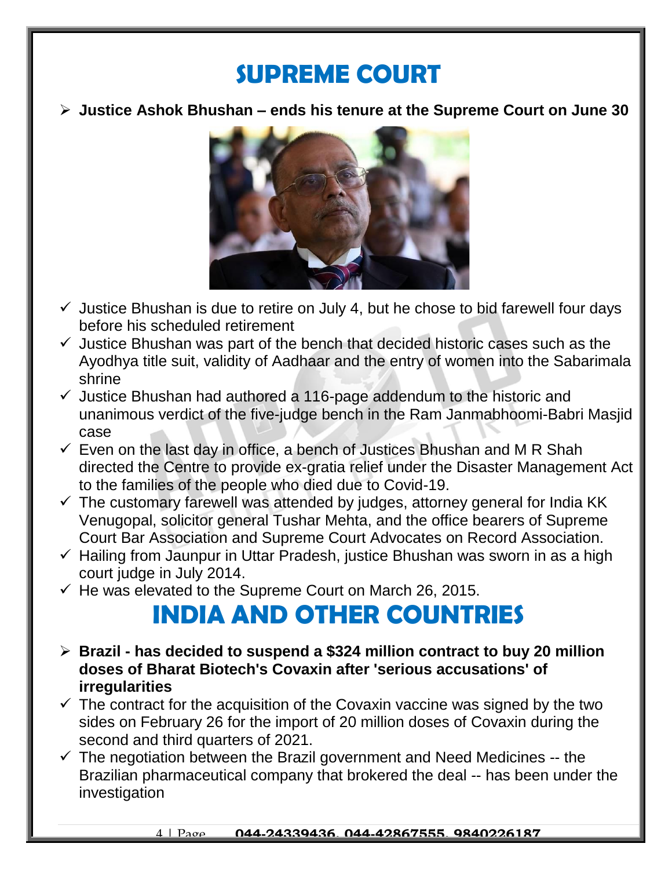### **SUPREME COURT**

**Justice Ashok Bhushan – ends his tenure at the Supreme Court on June 30**



- $\checkmark$  Justice Bhushan is due to retire on July 4, but he chose to bid farewell four days before his scheduled retirement
- $\checkmark$  Justice Bhushan was part of the bench that decided historic cases such as the Ayodhya title suit, validity of Aadhaar and the entry of women into the Sabarimala shrine
- $\checkmark$  Justice Bhushan had authored a 116-page addendum to the historic and unanimous verdict of the five-judge bench in the Ram Janmabhoomi-Babri Masjid case
- $\checkmark$  Even on the last day in office, a bench of Justices Bhushan and M R Shah directed the Centre to provide ex-gratia relief under the Disaster Management Act to the families of the people who died due to Covid-19.
- $\checkmark$  The customary farewell was attended by judges, attorney general for India KK Venugopal, solicitor general Tushar Mehta, and the office bearers of Supreme Court Bar Association and Supreme Court Advocates on Record Association.
- $\checkmark$  Hailing from Jaunpur in Uttar Pradesh, justice Bhushan was sworn in as a high court judge in July 2014.
- $\checkmark$  He was elevated to the Supreme Court on March 26, 2015.

# **INDIA AND OTHER COUNTRIES**

- **Brazil - has decided to suspend a \$324 million contract to buy 20 million doses of Bharat Biotech's Covaxin after 'serious accusations' of irregularities**
- $\checkmark$  The contract for the acquisition of the Covaxin vaccine was signed by the two sides on February 26 for the import of 20 million doses of Covaxin during the second and third quarters of 2021.
- $\checkmark$  The negotiation between the Brazil government and Need Medicines -- the Brazilian pharmaceutical company that brokered the deal -- has been under the investigation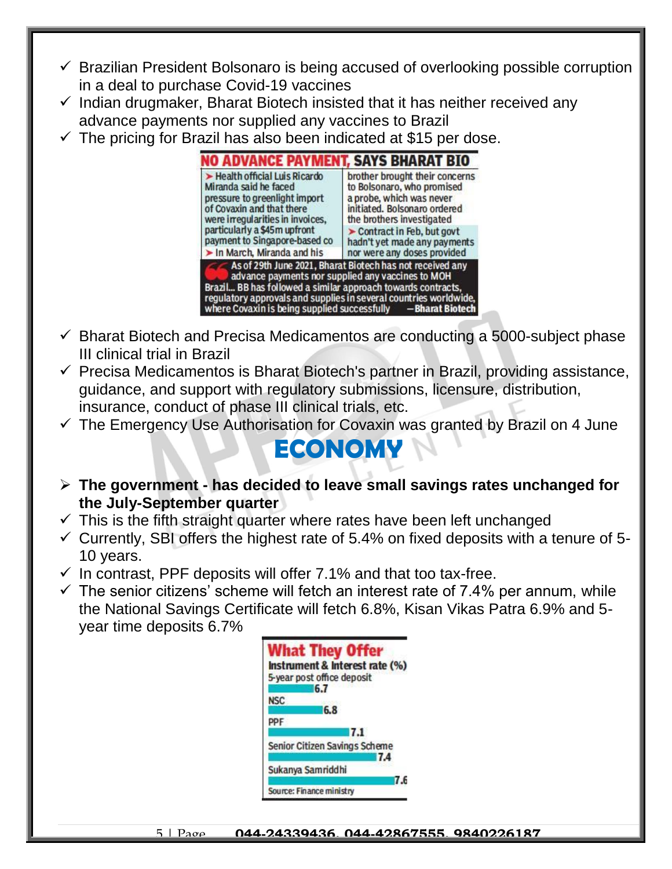- $\checkmark$  Brazilian President Bolsonaro is being accused of overlooking possible corruption in a deal to purchase Covid-19 vaccines
- $\checkmark$  Indian drugmaker, Bharat Biotech insisted that it has neither received any advance payments nor supplied any vaccines to Brazil
- $\checkmark$  The pricing for Brazil has also been indicated at \$15 per dose.



- $\checkmark$  Bharat Biotech and Precisa Medicamentos are conducting a 5000-subject phase III clinical trial in Brazil
- $\checkmark$  Precisa Medicamentos is Bharat Biotech's partner in Brazil, providing assistance, guidance, and support with regulatory submissions, licensure, distribution, insurance, conduct of phase III clinical trials, etc.
- $\checkmark$  The Emergency Use Authorisation for Covaxin was granted by Brazil on 4 June

#### **ECONOMY**

- **The government - has decided to leave small savings rates unchanged for the July-September quarter**
- $\checkmark$  This is the fifth straight quarter where rates have been left unchanged
- $\checkmark$  Currently, SBI offers the highest rate of 5.4% on fixed deposits with a tenure of 5-10 years.
- $\checkmark$  In contrast, PPF deposits will offer 7.1% and that too tax-free.
- $\checkmark$  The senior citizens' scheme will fetch an interest rate of 7.4% per annum, while the National Savings Certificate will fetch 6.8%, Kisan Vikas Patra 6.9% and 5 year time deposits 6.7%

|                   | <b>What They Offer</b>          |
|-------------------|---------------------------------|
|                   | Instrument & Interest rate (%)  |
|                   | 5-year post office deposit      |
|                   | 6.7                             |
| <b>NSC</b>        | 6.8                             |
| PPF               |                                 |
|                   | 7.1                             |
|                   | Senior Citizen Savings Scheme   |
|                   | 7.4                             |
| Sukanya Samriddhi |                                 |
|                   | 7.6<br>Source: Finance ministry |
|                   |                                 |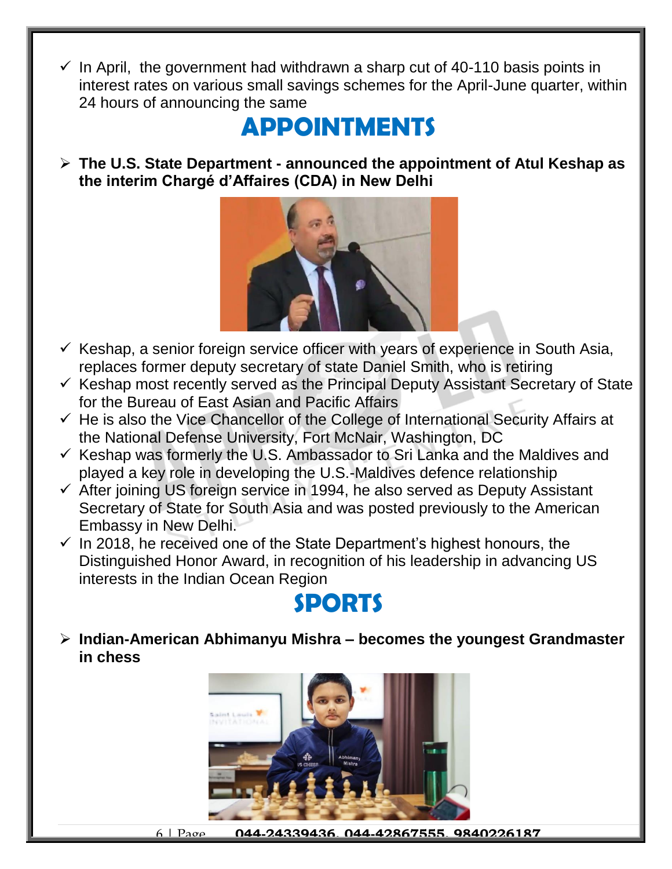$\checkmark$  In April, the government had withdrawn a sharp cut of 40-110 basis points in interest rates on various small savings schemes for the April-June quarter, within 24 hours of announcing the same

# **APPOINTMENTS**

 **The U.S. State Department - announced the appointment of Atul Keshap as the interim Chargé d'Affaires (CDA) in New Delhi**



- $\checkmark$  Keshap, a senior foreign service officer with years of experience in South Asia, replaces former deputy secretary of state Daniel Smith, who is retiring
- $\checkmark$  Keshap most recently served as the Principal Deputy Assistant Secretary of State for the Bureau of East Asian and Pacific Affairs
- $\checkmark$  He is also the Vice Chancellor of the College of International Security Affairs at the National Defense University, Fort McNair, Washington, DC
- $\checkmark$  Keshap was formerly the U.S. Ambassador to Sri Lanka and the Maldives and played a key role in developing the U.S.-Maldives defence relationship
- $\checkmark$  After joining US foreign service in 1994, he also served as Deputy Assistant Secretary of State for South Asia and was posted previously to the American Embassy in New Delhi.
- $\checkmark$  In 2018, he received one of the State Department's highest honours, the Distinguished Honor Award, in recognition of his leadership in advancing US interests in the Indian Ocean Region

# **SPORTS**

 **Indian-American Abhimanyu Mishra – becomes the youngest Grandmaster in chess**



6 | Page **044-24339436, 044-42867555, 9840226187**